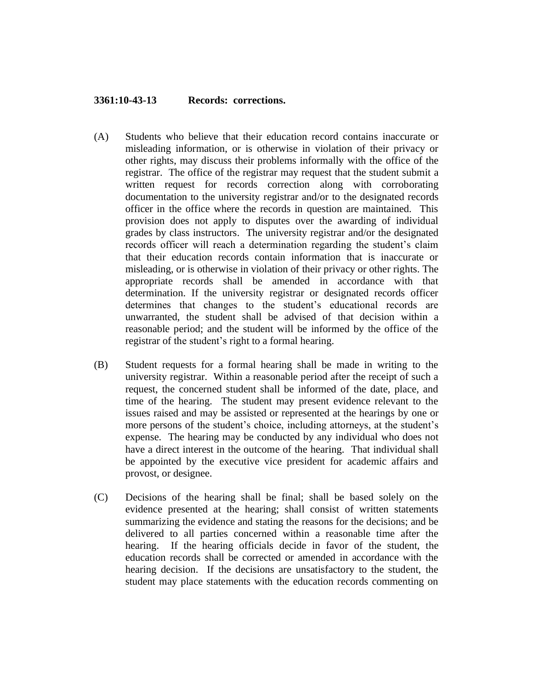## **3361:10-43-13 Records: corrections.**

- (A) Students who believe that their education record contains inaccurate or misleading information, or is otherwise in violation of their privacy or other rights, may discuss their problems informally with the office of the registrar. The office of the registrar may request that the student submit a written request for records correction along with corroborating documentation to the university registrar and/or to the designated records officer in the office where the records in question are maintained. This provision does not apply to disputes over the awarding of individual grades by class instructors. The university registrar and/or the designated records officer will reach a determination regarding the student's claim that their education records contain information that is inaccurate or misleading, or is otherwise in violation of their privacy or other rights. The appropriate records shall be amended in accordance with that determination. If the university registrar or designated records officer determines that changes to the student's educational records are unwarranted, the student shall be advised of that decision within a reasonable period; and the student will be informed by the office of the registrar of the student's right to a formal hearing.
- (B) Student requests for a formal hearing shall be made in writing to the university registrar. Within a reasonable period after the receipt of such a request, the concerned student shall be informed of the date, place, and time of the hearing. The student may present evidence relevant to the issues raised and may be assisted or represented at the hearings by one or more persons of the student's choice, including attorneys, at the student's expense. The hearing may be conducted by any individual who does not have a direct interest in the outcome of the hearing. That individual shall be appointed by the executive vice president for academic affairs and provost, or designee.
- (C) Decisions of the hearing shall be final; shall be based solely on the evidence presented at the hearing; shall consist of written statements summarizing the evidence and stating the reasons for the decisions; and be delivered to all parties concerned within a reasonable time after the hearing. If the hearing officials decide in favor of the student, the education records shall be corrected or amended in accordance with the hearing decision. If the decisions are unsatisfactory to the student, the student may place statements with the education records commenting on